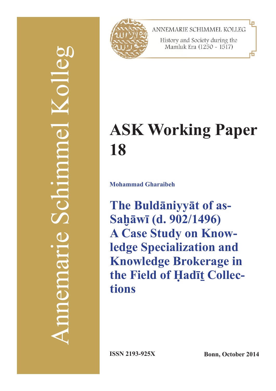# Annemarie Schimmel Kolleg  $\frac{1}{2}$ Schmme mement



ANNEMARIE SCHIMMEL KOLLEG

History and Society during the Mamluk Era (1250 - 1517)

# **ASK Working Paper 18**

**Mohammad Gharaibeh**

**The Buldāniyyāt of as-Saḫāwī (d. 902/1496) A Case Study on Knowledge Specialization and Knowledge Brokerage in the Field of Ḥadīṯ Collections**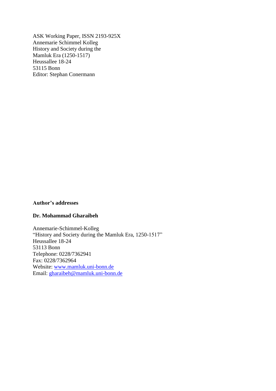ASK Working Paper, ISSN 2193-925X Annemarie Schimmel Kolleg History and Society during the Mamluk Era (1250-1517) Heussallee 18-24 53115 Bonn Editor: Stephan Conermann

### **Author's addresses**

### **Dr. Mohammad Gharaibeh**

Annemarie-Schimmel-Kolleg "History and Society during the Mamluk Era, 1250-1517" Heussallee 18-24 53113 Bonn Telephone: 0228/7362941 Fax: 0228/7362964 Website: [www.mamluk.uni-bonn.de](http://www.mamluk.uni-bonn.de/) Email: [gharaibeh@mamluk.uni-bonn.de](mailto:gharaibeh@mamluk.uni-bonn.de)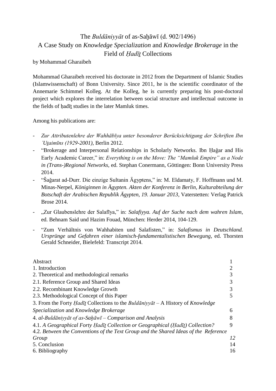# The *Buldāniyyāt* of as-Saḫāwī (d. 902/1496) A Case Study on *Knowledge Specialization* and *Knowledge Brokerage* in the Field of *Ḥadīṯ* Collections

by Mohammad Gharaibeh

Mohammad Gharaibeh received his doctorate in 2012 from the Department of Islamic Studies (Islamwissenschaft) of Bonn University. Since 2011, he is the scientific coordinator of the Annemarie Schimmel Kolleg. At the Kolleg, he is currently preparing his post-doctoral project which explores the interrelation between social structure and intellectual outcome in the fields of hadīt studies in the later Mamluk times.

Among his publications are:

- *Zur Attributenlehre der Wahhābīya unter besonderer Berücksichtigung der Schriften Ibn ʿUṯaimīns (1929-2001)*, Berlin 2012.
- "Brokerage and Interpersonal Relationships in Scholarly Networks. Ibn Ḥaǧar and His Early Academic Career," in: *Everything is on the Move: The "Mamluk Empire" as a Node in (Trans-)Regional Networks*, ed. Stephan Conermann, Göttingen: Bonn University Press 2014.
- "Šaǧarat ad-Durr. Die einzige Sultanin Ägyptens," in: M. Eldamaty, F. Hoffmann und M. Minas-Nerpel, *Königinnen in Ägypten. Akten der Konferenz in Berlin, Kulturabteilung der Botschaft der Arabischen Republik Ägypten, 19. Januar 2013*, Vaterstetten: Verlag Patrick Brose 2014.
- "Zur Glaubenslehre der Salafīya," in: *Salafiyya. Auf der Suche nach dem wahren Islam*, ed. Behnam Said und Hazim Fouad, München: Herder 2014, 104-129.
- "Zum Verhältnis von Wahhabiten und Salafisten," in: *Salafismus in Deutschland. Ursprünge und Gefahren einer islamisch-fundamentalistischen Bewegung*, ed. Thorsten Gerald Schneider, Bielefeld: Transcript 2014.

| Abstract                                                                             |    |
|--------------------------------------------------------------------------------------|----|
| 1. Introduction                                                                      |    |
| 2. Theoretical and methodological remarks                                            |    |
| 2.1. Reference Group and Shared Ideas                                                |    |
| 2.2. Recombinant Knowledge Growth                                                    |    |
| 2.3. Methodological Concept of this Paper                                            |    |
| 3. From the Forty Hadīt Collections to the Buldaniyyat – A History of Knowledge      |    |
| Specialization and Knowledge Brokerage                                               | 6  |
| 4. al-Buldāniyyāt of as-Sahāwī – Comparison and Analysis                             |    |
| 4.1. A Geographical Forty Hadit Collection or Geographical (Hadit) Collection?       | 9  |
| 4.2. Between the Conventions of the Text Group and the Shared Ideas of the Reference |    |
| Group                                                                                | 12 |
| 5. Conclusion                                                                        | 14 |
| 6. Bibliography                                                                      | 16 |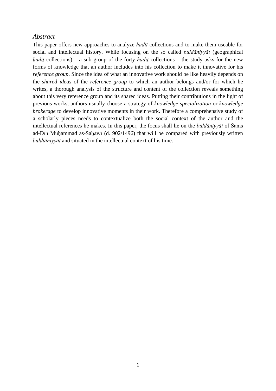### *Abstract*

This paper offers new approaches to analyze *hadīt* collections and to make them useable for social and intellectual history. While focusing on the so called *buldāniyyāt* (geographical *hadīt* collections) – a sub group of the forty *hadīt* collections – the study asks for the new forms of knowledge that an author includes into his collection to make it innovative for his *reference group*. Since the idea of what an innovative work should be like heavily depends on the *shared ideas* of the *reference group* to which an author belongs and/or for which he writes, a thorough analysis of the structure and content of the collection reveals something about this very reference group and its shared ideas. Putting their contributions in the light of previous works, authors usually choose a strategy of *knowledge specialization* or *knowledge brokerage* to develop innovative moments in their work. Therefore a comprehensive study of a scholarly pieces needs to contextualize both the social context of the author and the intellectual references he makes. In this paper, the focus shall lie on the *buldāniyyāt* of Šams ad-Dīn Muḥammad as-Saḫāwī (d. 902/1496) that will be compared with previously written *buldtāniyyāt* and situated in the intellectual context of his time.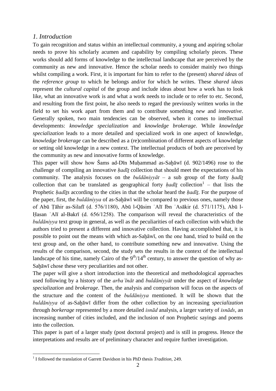### *1. Introduction*

To gain recognition and status within an intellectual community, a young and aspiring scholar needs to prove his scholarly acumen and capability by compiling scholarly pieces. These works should add forms of knowledge to the intellectual landscape that are perceived by the community as new and innovative. Hence the scholar needs to consider mainly two things whilst compiling a work. First, it is important for him to refer to the (present) *shared ideas* of the *reference group* to which he belongs and/or for which he writes. These *shared ideas* represent the *cultural capital* of the group and include ideas about how a work has to look like, what an innovative work is and what a work needs to include or to refer to etc. Second, and resulting from the first point, he also needs to regard the previously written works in the field to set his work apart from them and to contribute something *new* and *innovative*. Generally spoken, two main tendencies can be observed, when it comes to intellectual developments: *knowledge specialization* and *knowledge brokerage*. While *knowledge specialization* leads to a more detailed and specialized work in one aspect of knowledge, *knowledge brokerage* can be described as a (re)combination of different aspects of knowledge or setting old knowledge in a new context. The intellectual products of both are perceived by the community as new and innovative forms of knowledge.

This paper will show how Šams ad-Dīn Muhammad as-Sahāwī (d. 902/1496) rose to the challenge of compiling an innovative *hadīt* collection that should meet the expectations of his community. The analysis focuses on the *buldāniyyāt* – a sub group of the forty *hadīt* collection that can be translated as geographical forty  $h \alpha d\bar{\iota}$  collection<sup>1</sup> – that lists the Prophetic *ḥadīṯs* according to the cities in that the scholar heard the *ḥadīṯ*. For the purpose of the paper, first, the *buldāniyya* of as-Saḫāwī will be compared to previous ones, namely those of Abū Ṭāhir as-Silafī (d. 576/1180), Abū l-Qāsim ʿAlī Ibn ʿAsākir (d. 571/1175), Abū l-Ḥasan ʿAlī al-Bakrī (d. 656/1258). The comparison will reveal the characteristics of the *buldāniyya* text group in general, as well as the peculiarities of each collection with which the authors tried to present a different and innovative collection. Having accomplished that, it is possible to point out the means with which as-Sahāwī, on the one hand, tried to build on the text group and, on the other hand, to contribute something new and innovative. Using the results of the comparison, second, the study sets the results in the context of the intellectual landscape of his time, namely Cairo of the  $9<sup>th</sup>/14<sup>th</sup>$  century, to answer the question of why as-Saḫāwī chose these very peculiarities and not other.

The paper will give a short introduction into the theoretical and methodological approaches used following by a history of the *arbaʿīnāt* and *buldāniyyāt* under the aspect of *knowledge specialization* and *brokerage*. Then, the analysis and comparison will focus on the aspects of the structure and the content of the *buldāniyya* mentioned. It will be shown that the *buldāniyya* of as-Saḫāwī differ from the other collection by an increasing *specialization* through *borkerage* represented by a more detailed *isnād* analysis, a larger variety of *isnāds*, an increasing number of cities included, and the inclusion of non Prophetic sayings and poems into the collection.

This paper is part of a larger study (post doctoral project) and is still in progress. Hence the interpretations and results are of preliminary character and require further investigation.

<sup>1</sup> 1 I followed the translation of Garrett Davidson in his PhD thesis *Tradition*, 249.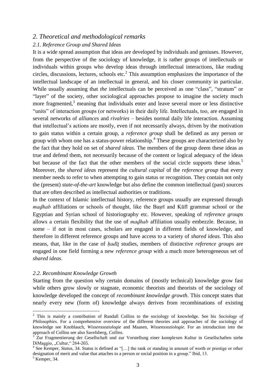### *2. Theoretical and methodological remarks*

### *2.1. Reference Group and Shared Ideas*

It is a wide spread assumption that ideas are developed by individuals and geniuses. However, from the perspective of the sociology of knowledge, it is rather groups of intellectuals or individuals within groups who develop ideas through intellectual interactions, like reading circles, discussions, lectures, schools etc. $2$  This assumption emphasizes the importance of the intellectual landscape of an intellectual in general, and his closer community in particular. While usually assuming that *the* intellectuals can be perceived as one "class", "stratum" or "layer" of the society, other sociological approaches propose to imagine the society much more fragmented, $3$  meaning that individuals enter and leave several more or less distinctive "units" of interaction groups (or networks) in their daily life. Intellectuals, too, are engaged in several networks of *alliances* and *rivalries* – besides normal daily life interaction. Assuming that intellectual's actions are mostly, even if not necessarily always, driven by the motivation to gain status within a certain group, a *reference group* shall be defined as any person or group with whom one has a status-power relationship. 4 These groups are characterized also by the fact that they hold on set of *shared ideas*. The members of the group deem these ideas as true and defend them, not necessarily because of the content or logical adequacy of the ideas but because of the fact that the other members of the social circle supports these ideas.<sup>5</sup> Moreover, the *shared ideas* represent the *cultural capital* of the *reference group* that every member needs to refer to when attempting to gain status or recognition. They contain not only the (present) *state-of-the-art* knowledge but also define the common intellectual (past) sources that are often described as intellectual authorities or traditions.

In the context of Islamic intellectual history, reference groups usually are expressed through *maḏhab* affiliations or schools of thought, like the Baṣrī and Kūfī grammar school or the Egyptian and Syrian school of historiography etc. However, speaking of *reference groups* allows a certain flexibility that the use of *maḏhab* affiliation usually embezzle. Because, in some – if not in most cases, scholars are engaged in different fields of knowledge, and therefore in different reference groups and have access to a variety of *shared ideas*. This also means, that, like in the case of *ḥadīṯ* studies, members of distinctive *reference groups* are engaged in one field forming a new *reference group* with a much more heterogeneous set of *shared ideas*.

### *2.2. Recombinant Knowledge Growth*

Starting from the question why certain domains of (mostly technical) knowledge grow fast while others grow slowly or stagnate, economic theorists and theorists of the sociology of knowledge developed the concept of *recombinant knowledge growth*. This concept states that nearly every new (form of) knowledge always derives from recombinations of existing

<sup>2</sup> This is mainly a contribution of Randall Collins to the sociology of knowledge. See his *Sociology of Philosophies*. For a comprehensive overview of the different theories and approaches of the sociology of knowledge see Knoblauch, *Wissenssoziologie* and Maasen, *Wissenssoziologie*. For an introduction into the approach of Collins see also Savelsberg, *Collins*.

<sup>&</sup>lt;sup>3</sup> Zur Fragmentierung der Gesellschaft und zur Vorstellung einer komplexen Kultur in Gesellschaften siehe DiMaggio, "Cultur," 264-265.

<sup>4</sup> See Kemper, *Status*, 34. Status is defined as "[…] the rank or standing in amount of worth or prestige or other designation of merit and value that attaches to a person or social position in a group." Ibid, 13.

 $<sup>5</sup>$  Kemper, 34.</sup>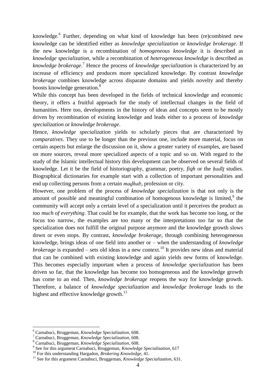knowledge.<sup>6</sup> Further, depending on what kind of knowledge has been (re)combined new knowledge can be identified either as *knowledge specialization* or *knowledge brokerage*. If the new knowledge is a recombination of *homogeneous knowledge* it is described as *knowledge specialization,* while a recombination of *heterogeneous knowledge* is described as *knowledge brokerage*. <sup>7</sup> Hence the process of *knowledge specialization* is characterized by an increase of efficiency and produces more specialized knowledge. By contrast *knowledge brokerage* combines knowledge across disparate domains and yields novelty and thereby boosts knowledge generation.<sup>8</sup>

While this concept has been developed in the fields of technical knowledge and economic theory, it offers a fruitful approach for the study of intellectual changes in the field of humanities. Here too, developments in the history of ideas and concepts seem to be mostly driven by recombination of existing knowledge and leads either to a process of *knowledge specialization* or *knowledge brokerage*.

Hence, *knowledge specialization* yields to scholarly pieces that are characterized by *comparatives*. They use to be longer than the previous one, include more material, focus on certain aspects but enlarge the discussion on it, show a greater variety of examples, are based on more sources, reveal more specialized aspects of a topic and so on. With regard to the study of the Islamic intellectual history this development can be observed on several fields of knowledge. Let it be the field of historiography, grammar, poetry, *fiqh* or the *ḥadīṯ* studies. Biographical dictionaries for example start with a collection of important personalities and end up collecting persons from a certain *maḏhab*, profession or city.

However, one problem of the process of *knowledge specialization* is that not only is the amount of possible and meaningful combination of homogenous knowledge is limited, $9$  the community will accept only a certain level of a specialization until it perceives the product as *too much of everything*. That could be for example, that the work has become too long, or the focus too narrow, the examples are too many or the interpretations too far so that the specialization does not fulfill the original purpose anymore and the knowledge growth slows down or even stops. By contrast, *knowledge brokerage*, through combining heterogeneous knowledge, brings ideas of one field into another or – when the understanding of *knowledge brokerage* is expanded – sets old ideas in a new context.<sup>10</sup> It provides new ideas and material that can be combined with existing knowledge and again yields new forms of knowledge. This becomes especially important when a process of *knowledge specialization* has been driven so far, that the knowledge has become too homogeneous and the knowledge growth has come to an end. Then, *knowledge brokerage* reopens the way for knowledge growth. Therefore, a balance of *knowledge specialization* and *knowledge brokerage* leads to the highest and effective knowledge growth.<sup>11</sup>

<sup>6</sup> Carnabuci, Bruggeman, *Knowledge Specialization*, 608.

<sup>7</sup> Carnabuci, Bruggeman, *Knowledge Specialization*, 608.

<sup>8</sup> Carnabuci, Bruggeman, *Knowledge Specialization*, 608.

<sup>9</sup> See for this argument Carnabuci, Bruggeman, *Knowledge Specialization*, 617

<sup>10</sup> For this understanding Hargadon, *Brokering Knowledge*, 41.

<sup>&</sup>lt;sup>11</sup> See for this argument Carnabuci, Bruggeman, *Knowledge Specialization*, 631.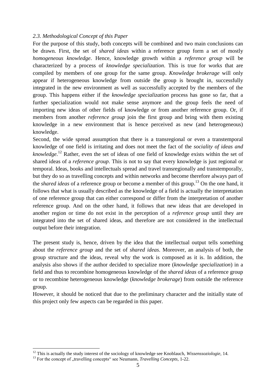### *2.3. Methodological Concept of this Paper*

For the purpose of this study, both concepts will be combined and two main conclusions can be drawn. First, the set of *shared ideas* within a reference group form a set of mostly *homogeneous knowledge*. Hence, knowledge growth within a *reference group* will be characterized by a process of *knowledge specialization*. This is true for works that are compiled by members of one group for the same group. *Knowledge brokerage* will only appear if heterogeneous knowledge from outside the group is brought in, successfully integrated in the new environment as well as successfully accepted by the members of the group. This happens either if the *knowledge specialization* process has gone so far, that a further specialization would not make sense anymore and the group feels the need of importing new ideas of other fields of knowledge or from another reference group. Or, if members from another *reference group* join the first group and bring with them existing knowledge in a new environment that is hence perceived as new (and heterogeneous) knowledge.

Second, the wide spread assumption that there is a transregional or even a transtemporal knowledge of one field is irritating and does not meet the fact of the *sociality of ideas and knowledge*. <sup>12</sup> Rather, even the set of ideas of one field of knowledge exists within the set of shared ideas of a *reference group*. This is not to say that every knowledge is just regional or temporal. Ideas, books and intellectuals spread and travel transregionally and transtemporally, but they do so as travelling concepts and within networks and become therefore always part of the *shared ideas* of a reference group or become a member of this group. <sup>13</sup> On the one hand, it follows that what is usually described as the knowledge of a field is actually the interpretation of one reference group that can either correspond or differ from the interpretation of another reference group. And on the other hand, it follows that new ideas that are developed in another region or time do not exist in the perception of a *reference group* until they are integrated into the set of shared ideas, and therefore are not considered in the intellectual output before their integration.

The present study is, hence, driven by the idea that the intellectual output tells something about the *reference group* and the set of *shared ideas*. Moreover, an analysis of both, the group structure and the ideas, reveal why the work is composed as it is. In addition, the analysis also shows if the author decided to specialize more (*knowledge specialization*) in a field and thus to recombine homogeneous knowledge of the *shared ideas* of a reference group or to recombine heterogeneous knowledge (*knowledge brokerage*) from outside the reference group.

However, it should be noticed that due to the preliminary character and the initially state of this project only few aspects can be regarded in this paper.

<sup>12</sup> This is actually the study interest of the sociology of knowledge see Knoblauch, *Wissenssoziologie*, 14.

<sup>&</sup>lt;sup>13</sup> For the concept of "travelling concepts" see Neumann, *Travelling Concepts*, 1-22.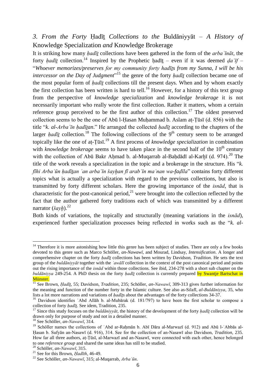## *3. From the Forty* Ḥadīṯ *Collections to the* Buldāniyyāt *– A History of*  Knowledge Specialization *and* Knowledge Brokerage

It is striking how many *ḥadīṯ* collections have been gathered in the form of the *arbaʿīnāt*, the forty *hadīt* collection.<sup>14</sup> Inspired by the Prophetic hadīt – even if it was deemed *da*  $if$  – "*Whoever memorizes/preserves for my community forty hadīṯs from my Sunna, I will be his intercessor on the Day of Judgment*<sup>"15</sup> the genre of the forty *ḥadīṯ* collection became one of the most popular form of *ḥadīṯ* collections till the present days. When and by whom exactly the first collection has been written is hard to tell.<sup>16</sup> However, for a history of this text group from the perspective of *knowledge specialization* and *knowledge brokerage* it is not necessarily important who really wrote the first collection. Rather it matters, whom a certain reference group perceived to be the first author of this collection.<sup>17</sup> The oldest preserved collection seems to be the one of Abū l-Ḥasan Muḥammad b. Aslam aṭ-Ṭūsī (d. 856) with the title "*k. al-Arbaʿīn ḥadīṯan*." He arranged the collected *ḥadīṯ* according to the chapters of the larger *hadīt* collection.<sup>18</sup> The following collections of the 9<sup>th</sup> century seem to be arranged topically like the one of aṭ-Ṭūsī. <sup>19</sup> A first process of *knowledge specialization* in combination with *knowledge brokerage* seems to have taken place in the second half of the 10<sup>th</sup> century with the collection of Abū Bakr Ahmad b. al-Muqarrab al-Bahdādī al-Karhī (d. 974).<sup>20</sup> The title of the work reveals a specialization in the topic and a brokerage in the structure. His "*k. fīhi Arbaʿūn ḥadīṯan ʿan arbaʿīn šayḫan fī arabʿīn maʿnan wa-faḍīla*" contains forty different topics what is actually a specialization with regard to the previous collections, but also is transmitted by forty different scholars. Here the growing importance of the *isnād*, that is characteristic for the post-canonical period, $^{21}$  were brought into the collection reflected by the fact that the author gathered forty traditions each of which was transmitted by a different narrator (*šayh*).<sup>22</sup>

Both kinds of variations, the topically and structurally (meaning variations in the *isnād*), experienced further specialization processes being reflected in works such as the "*k. al-*

<sup>&</sup>lt;sup>14</sup> Therefore it is more astonishing how little this genre has been subject of studies. There are only a few books devoted to this genre such as Marco Schöller, *an-Nawawī*, and Mourad, Lindsay, *Intensification*. A longer and comprehensive chapter on the forty *ḥadīṯ* collections has been written by Davidson, *Tradition*. He sets the text group of the *buldāniyyāt* together with the *ʿawālī* collection in the context of the post canonical period and points out the rising importance of the *isnād* within those collections. See ibid, 234-278 with a short sub chapter on the *buldāniyya* 249-254. A PhD thesis on the forty *hadīt* collection is currently prepared by Swantie Bartschat in Münster.

<sup>15</sup> See Brown, *Ḥadīṯ*, 55; Davidson, *Tradition*, 235; Schöller, *an-Nawawī*, 309-313 gives further information for the meaning and function of the number forty in the Islamic culture. See also as-Silafī, *al-Buldāniyya*, 35, who lists a lot more narrations and variations of *ḥadīṯs* about the advantages of the forty collections 34-37.

<sup>&</sup>lt;sup>16</sup> Davidson identifies 'Abd Allāh b. al-Mubārak (d. 181/797) to have been the first scholar to compose a collection of forty *ḥadīṯ*. See idem, Tradition, 235.

<sup>17</sup> Since this study focuses on the *buldāniyyāt*, the history of the development of the forty *ḥadīṯ* collection will be drawn only for purpose of study and not in a detailed manner.

<sup>18</sup> See Schöller, *an-Nawawī*, 314.

<sup>&</sup>lt;sup>19</sup> Schöller names the collections of 'Abd ar-Raḥmān b. Abī Dāra al-Marwazī (d. 912) and Abū l-'Abbās al-Ḥasan b. Sufyān an-Nasawī (d. 916), 314. See for the collection of an-Nasawī also Davidson, *Tradition*, 235. How far all three authors, aṭ-Ṭūsī, al-Marwazī and an-Nasawī, were connected with each other, hence belonged to one *reference group* and shared the same ideas has still to be studied.

<sup>20</sup> Schöller, *an-Nawawī*, 315.

<sup>21</sup> See for this Brown, *Ḥadīth*, 46-49.

<sup>22</sup> See Schöller, *an-Nawawī*, 315; al-Muqarrab, *Arbaʿūn*.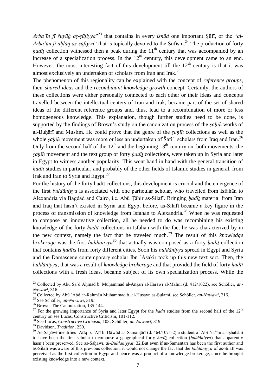*Arbaʿīn fī šuyūḫ aṣ-ṣūfiyya*" <sup>23</sup> that contains in every *isnād* one important Ṣūfī, or the "*al-Arba'ūn fī ahlāq as-sūfiyya*" that is topically devoted to the Sufism.<sup>24</sup> The production of forty *hadīt* collection witnessed then a peak during the  $11<sup>th</sup>$  century that was accompanied by an increase of a specialization process. In the  $12<sup>th</sup>$  century, this development came to an end. However, the most interesting fact of this development till the  $12<sup>th</sup>$  century is that it was almost exclusively an undertaken of scholars from Iran and Irak.<sup>25</sup>

The phenomenon of this regionality can be explained with the concept of *reference groups*, their *shared ideas* and the *recombinant knowledge growth* concept. Certainly, the authors of these collections were either personally connected to each other or their ideas and concepts travelled between the intellectual centers of Iran and Irak, became part of the set of shared ideas of the different reference groups and, thus, lead to a recombination of more or less homogeneous knowledge. This explanation, though further studies need to be done, is supported by the findings of Brown's study on the canonization process of the *sahīh* works of al-Buḫārī and Muslim. He could prove that the genre of the *ṣaḥīḥ* collections as well as the whole *sahīh* movement was more or less an undertaken of Šāfi i scholars from Iraq and Iran.<sup>26</sup> Only from the second half of the  $12<sup>th</sup>$  and the beginning  $13<sup>th</sup>$  century on, both movements, the *ṣaḥīḥ* movement and the text group of forty *ḥadīṯ* collections, were taken up in Syria and later in Egypt to witness another popularity. This went hand in hand with the general transition of *hadīt* studies in particular, and probably of the other fields of Islamic studies in general, from Irak and Iran to Syria and Egypt. $27$ 

For the history of the forty hadīt collections, this development is crucial and the emergence of the first *buldāniyya* is associated with one particular scholar, who travelled from Isfahān to Alexandria via Bagdad and Cairo, i.e. Abū Ṭāhir as-Silafī. Bringing *ḥadīṯ* material from Iran and Iraq that hasn't existed in Syria and Egypt before, as-Silafī became a key figure in the process of transmission of knowledge from Isfahan to Alexandria.<sup>28</sup> When he was requested to compose an innovative collection, all he needed to do was recombining his existing knowledge of the forty *hadīt* collections in Isfahan with the fact he was characterized by in the new context, namely the fact that he traveled much.<sup>29</sup> The result of this *knowledge brokerage* was the first *buldāniyya*<sup>30</sup> that actually was composed as a forty *ḥadīṯ* collection that contains *ḥadīṯs* from forty different cities. Soon his *buldāniyya* spread in Egypt and Syria and the Damascene contemporary scholar Ibn ʿAsākir took up this new text sort. Then, the *buldāniyya*, that was a result of *knowledge brokerage* and that provided the field of forty *ḥadīṯ* collections with a fresh ideas, became subject of its own specialization process. While the

<sup>23</sup> Collected by Abū Saʿd Aḥmad b. Muḥammad al-Anṣārī al-Harawī al-Mālīnī (d. 412/1022), see Schöller, *an-Nawawī*, 316.

<sup>24</sup> Collected by Abū ʿAbd ar-Raḥmān Muḥammad b. al-Ḥusayn as-Sulamī, see Schöller, *an-Nawawī*, 316.

<sup>25</sup> See Schöller, *an-Nawawī*, 319.

<sup>&</sup>lt;sup>26</sup> Brown, The Canonization, 135-144.

<sup>&</sup>lt;sup>27</sup> For the growing importance of Syria and later Egypt for the *hadīt* studies from the second half of the  $12<sup>th</sup>$ century on see Lucas, Constructive Criticism, 101-112.

<sup>28</sup> See Lucas, *Constructive Criticism*, 103; Schöller, *an-Nawawī*, 319.

<sup>29</sup> Davidson, *Tradition*, 250.

<sup>&</sup>lt;sup>30</sup> As-Sahāwī identifies `Atīq b. `Alī b. Dāwūd as-Samanṭārī (d. 464/1071-2) a student of Abī Na im al-Iṣbahānī to have been the first scholar to compose a geographical forty *ḥadīṯ* collection (*buldāniyya*) that apparently hasn't been preserved. See as-Sahāwī, *al-Buldāniyyāt*, 32.But even if as-Samantārī has been the first author and as-Silafī was aware of this previous collection, it would not change the fact that the *buldāniyya* of as-Silafī was perceived as the first collection in Egypt and hence was a product of a knowledge brokerage, since he brought existing knowledge into a new context.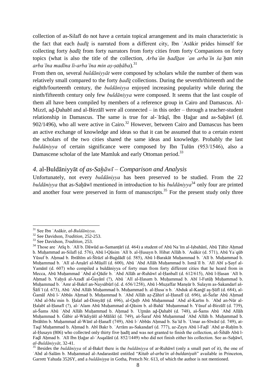collection of as-Silafī do not have a certain topical arrangement and its main characteristic is the fact that each *hadīt* is narrated from a different city, Ibn `Asākir prides himself for collecting forty *ḥadīṯ* from forty narrators from forty cities from forty Companions on forty topics (what is also the title of the collection, *Arbaʿūn ḥadīṯan ʿan arbaʿīn šaʿḫan min arbaʿīna madīna li-arbaʿīna min aṣ-ṣaḥāba*).<sup>31</sup>

From then on, several *buldāniyyāt* were composed by scholars while the number of them was relatively small compared to the forty *hadīt* collections. During the seventh/thirteenth and the eighth/fourteenth century, the *buldāniyya* enjoyed increasing popularity while during the ninth/fifteenth century only few *buldāniyya* were composed. It seems that the last couple of them all have been compiled by members of a reference group in Cairo and Damascus. Al-Mizzī, ad-Dahabī and al-Birzālī were all connected – in this order – through a teacher-student relationship in Damascus. The same is true for al-ʿIrāqī, Ibn Ḥaǧar and as-Saḫāwī (d. 902/1496), who all were active in Cairo.<sup>32</sup> However, between Cairo and Damascus has been an active exchange of knowledge and ideas so that it can be assumed that to a certain extent the scholars of the two cities shared the same ideas and knowledge. Probably the last *buldāniyya* of certain significance were composed by Ibn Ṭulūn (953/1546), also a Damascene scholar of the late Mamluk and early Ottoman period.<sup>33</sup>

### *4.* al-Buldāniyyāt *of as-Saḫāwī – Comparison and Analysis*

Unfortunately, not every *buldāniyya* has been preserved to be studied. From the 22 *buldāniyya* that as-Sahāwī mentioned in introduction to his *buldāniyya*<sup>34</sup> only four are printed and another four were preserved in form of manuscripts.<sup>35</sup> For the present study only three

<sup>31</sup> See Ibn ʿAsākir, *al-Buldāniyya*.

<sup>32</sup> See Davidson, *Tradition*, 252-253.

<sup>33</sup> See Davidson, *Tradition*, 253.

<sup>34</sup> Those are ʿAtīq b. ʿAlī b. Dāwūd as-Samanṭārī (d. 464) a student of Abū Naʿīm al-Iṣbahānī, Abū Ṭāhir Aḥmad b. Muḥammad as-Silafī (d. 576), Abū l-Qāsim ʿAlī b. al-Ḥusayn b. Hibat Allāh b. ʿAsākir (d. 571), Abū Yaʿqūb Yūsuf b. Aḥmad b. Ibrāhīm aš-Šīrāzī al-Baġdādī (d. 585), Abū l-Barakāt Muḥammad b. ʿAlī b. Muḥammad b. Muhammad b. ʿAlī al-Anṣārī al-Mūṣilī (d. 600), Abū ʿAbd Allāh Muhammad b. Ismāʿīl b. ʿAlī Abī s-Sayf al-Yamānī (d. 607) who compiled a buldāniyya of forty man from forty different cities that he heard from in Mecca, Abū Muḥammad ʿAbd al-Qādir b. ʿAbd Allāh ar-Ruhāwī al-Ḥanbalī (d. 612/615), Abū l-Ḥasan ʿAlī b. Aḥmad b. Yaḥyā al-Azadī al-Ǧayānī (?), Abū ʿAlī al-Ḥasam b. Muḥammad b. Abī l-Futūḥ Muḥammad b. Muḥammad b. ʿAmr al-Bakrī an-Naysābūrī (d. d. 656/1258), Abū l-Muẓaffar Manṣūr b. Sulaym as-Sakandarī aš-Šāfiʿī (d. 673), Abū ʿAbd Allāh Muḥammad b. Muḥammad b. al-Ḥusaʿn b. ʿAbduk al-Kanǧī aṣ-Ṣūfī (d. 684), al-Ǧamāl Abū l-ʿAbbās Aḥmad b. Muḥammad b. ʿAbd Allāh aẓ-Ẓāhirī al-Ḥanafī (d. 696), aš-Šafar Abū Aḥmad ʿAbd al-Muʾmin b. Ḫalaf ad-Dimyāṭī (d. 696), al-Quṭb Abū Muḥammad ʿAbd al-Karīm b. ʿAbd an-Nūr al-Ḥalabī al-Ḥanafī (?), al-ʿAlam Abū Muḥammad al-Qāsim b. al-Bahāʾ Muḥammad b. Yūsuf al-Birzālī (d. 739), aš-Šams Abū ʿAbd Allāh Muḥammad b. Aḥmad b. ʿUṯmān aḏ-Ḏahabī (d. 748), aš-Šams Abū ʿAbd Allāh Muḥammad b. Ǧābir al-Wādiyāšī al-Mālikī (d. 749), aš-Šaraf Abū Muḥammad ʿAbd Allāh b. Muḥammad b. Ibrāhīm b. Muḥammad al-Wānī al-Ḥanafī (749), Abū l-ʿAbbās Aḥmad b. Saʿīd b. ʿUmar as-Sīwāsī (d. 749), at-Taqī Muhammad b. Ahmad b. Abī Bakr b. ʿArrām as-Sakandarī (d. 777), az-Zayn Abū l-Fadl ʿAbd ar-Rahīm b. al-Husayn (806) who collected only thirty five hadīt and was not granted to finish the collection, aš-Šihāb Abū l-Faḏl Aḥmad b. ʿAlī Ibn Ḥaǧar al-ʿAsqalānī (d. 852/1449) who did not finish either his collection. See as-Saḫāwī, *al-Buldāniyyāt*, 32-41.

<sup>35</sup> Besides the *buldāniyya* of al-Bakrī there is the *buldāniyya* of ar-Ruhāwī (only a small part of it), the one of ʿAbd al-Salām b. Muḥammad al-Andarastānī entitled "*Kitab al-arba'in al-buldaniyah*" available in Princeton, Garrett Yahuda 3526Y, and a *buldāniyya* in Gotha, Pretsch Nr. 613, of which the author is not mentioned.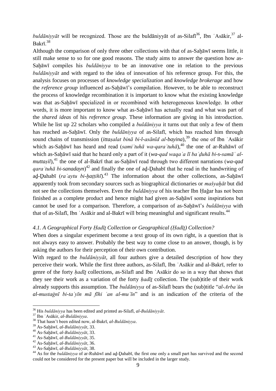$buld\bar{a}niyy\bar{a}t$  will be recognized. Those are the buldāniyyāt of as-Silafi<sup>36</sup>, Ibn 'Asākir,<sup>37</sup> al- $Bakr\bar{1}$ <sup>38</sup>

Although the comparison of only three other collections with that of as-Sah $\bar{a}$ wī seems little, it still make sense to so for one good reasons. The study aims to answer the question how as-Sahāwī compiles his *buldāniyya* to be an innovative one in relation to the previous *buldāniyyāt* and with regard to the idea of innovation of his reference group. For this, the analysis focuses on processes of *knowledge specialization* and *knowledge brokerage* and how the *reference group* influenced as-Saḫāwī's compilation. However, to be able to reconstruct the process of knowledge recombination it is important to know what the existing knowledge was that as-Sahāwī specialized in or recombined with heterogeneous knowledge. In other words, it is more important to know what as-Sahawi has actually read and what was part of the *shared ideas* of his *reference group*. These information are giving in his introduction. While he list up 22 scholars who compiled a *buldāniyya* it turns out that only a few of them has reached as-Saḫāwī. Only the *buldāniyya* of as-Silafī, which has reached him through sound chains of transmission (*ittaṣalat binā bi-l-asānīd al-bayina*),<sup>39</sup> the one of Ibn `Asākir which as-Sahāwī has heard and read (*sami'tuhā wa-qara'tuhā*),<sup>40</sup> the one of ar-Ruhāwī of which as-Saḫāwī said that he heard only a part of it (*wa-qad waqaʿa lī baʿḍuhā bi-s-samāʿ almuttasil*),<sup>41</sup> the one of al-Bakrī that as-Sahāwī read through two different narrations (*wa-qad qaraʾtuhā bi-sanadayn*) <sup>42</sup> and finally the one of aḏ-Ḏahabī that he read in the handwriting of ad-Dahabī (*ra avtu bi-hattihī*).<sup>43</sup> The information about the other collections, as-Sahāwī apparently took from secondary sources such as biographical dictionaries or *mašyaḫāt* but did not see the collections themselves. Even the *buldāniyya* of his teacher Ibn Ḥaǧar has not been finished as a complete product and hence might had given as-Saḫāwī some inspirations but cannot be used for a comparison. Therefore, a comparison of as-Sahāwī's *buldāniyya* with that of as-Silafī, Ibn 'Asākir and al-Bakrī will bring meaningful and significant results.<sup>44</sup>

### *4.1. A Geographical Forty Ḥadīṯ Collection or Geographical (Ḥadīṯ) Collection?*

When does a singular experiment become a text group of its own right, is a question that is not always easy to answer. Probably the best way to come close to an answer, though, is by asking the authors for their perception of their own contribution.

With regard to the *buldāniyyāt*, all four authors give a detailed description of how they perceive their work. While the first three authors, as-Silafī, Ibn ʿAsākir and al-Bakrī, refer to genre of the forty *ḥadīṯ* collections, as-Silafī and Ibn ʿAsākir do so in a way that shows that they see their work as a variation of the forty *ḥadīṯ* collection. The (sub)title of their work already supports this assumption. The *buldāniyya* of as-Silafī bears the (sub)title "*al-Arbaʿūn al-mustaġnī bi-taʿyīn mā fīhi ʿan al-muʿīn*" and is an indication of the criteria of the

<sup>36</sup> His *buldāniyya* has been edited and printed as-Silafī, *al-Buldāniyyāt*.

<sup>37</sup> Ibn ʿAsākir, *al-Buldāniyya*.

<sup>38</sup> That hasn't been edited now, al-Bakrī, *al-Buldāniyya*.

<sup>39</sup> As-Saḫāwī, *al-Buldāniyyāt*, 33.

<sup>40</sup> As-Saḫāwī, *al-Buldāniyyāt*, 33.

<sup>41</sup> As-Saḫāwī, *al-Buldāniyyāt*, 35.

<sup>42</sup> As-Saḫāwī, *al-Buldāniyyāt*, 36.

<sup>43</sup> As-Saḫāwī, *al-Buldāniyyāt*, 38.

<sup>&</sup>lt;sup>44</sup> As for the *buldāniyya* of ar-Ruhāwī and ad-Dahabī, the first one only a small part has survived and the second could not be considered for the present paper but will be included in the larger study.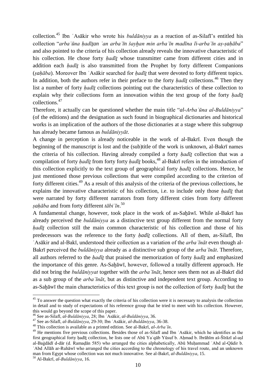collection.<sup>45</sup> Ibn ʿAsākir who wrote his *buldāniyya* as a reaction of as-Silafī's entitled his collection "*arbaʿūna ḥadīṯan ʿan arbaʿīn šayḫan min arbaʿīn madīna li-arbaʿīn aṣ-ṣaḥāba*" and also pointed to the criteria of his collection already reveals the innovative characteristic of his collection. He chose forty *ḥadīṯ* whose transmitter came from different cities and in addition each *ḥadīṯ* is also transmitted from the Prophet by forty different Companions (*ṣaḥāba*). Moreover Ibn ʿAsākir searched for *ḥadīṯ* that were devoted to forty different topics. In addition, both the authors refer in their preface to the forty  $h \alpha d\bar{\iota}t$  collections.<sup>46</sup> Then they list a number of forty *ḥadīṯ* collections pointing out the characteristics of these collection to explain why their collections form an innovation within the text group of the forty *hadīt* collections.<sup>47</sup>

Therefore, it actually can be questioned whether the main title "*al-Arbaʿūna al-Buldāniyya*" (of the editions) and the designation as such found in biographical dictionaries and historical works is an implication of the authors of the those dictionaries at a stage where this subgroup has already became famous as *buldāniyyāt*.

A change in perception is already noticeable in the work of al-Bakrī. Even though the beginning of the manuscript is lost and the (sub)title of the work is unknown, al-Bakrī names the criteria of his collection. Having already compiled a forty *ḥadīṯ* collection that was a compilation of forty *ḥadīṯ* from forty forty *ḥadīṯ* books, <sup>48</sup> al-Bakrī refers in the introduction of this collection explicitly to the text group of geographical forty *ḥadīṯ* collections. Hence, he just mentioned those previous collections that were compiled according to the criterion of forty different cities.<sup>49</sup> As a result of this analysis of the criteria of the previous collections, he explains the innovative characteristic of his collection, i.e. to include only those *ḥadīṯ* that were narrated by forty different narrators from forty different cities from forty different *ṣaḥāba* and from forty different *tābiʿīn*. 50

A fundamental change, however, took place in the work of as-Saḫāwī. While al-Bakrī has already perceived the *buldāniyya* as a distinctive text group different from the normal forty *hadīt* collection still the main common characteristic of his collection and those of his predecessors was the reference to the forty *ḥadīṯ* collections. All of them, as-Silafī, Ibn ʿAsākir and al-Bakī, understood their collection as a variation of the *arbaʿīnāt* even though al-Bakrī perceived the *buldāniyya* already as a distinctive sub group of the *arbaʿīnāt*. Therefore, all authors referred to the *ḥadīṯ* that praised the memorization of forty *ḥadīṯ* and emphasized the importance of this genre. As-Saḫāwī, however, followed a totally different approach. He did not bring the *buldāniyyat* together with the *arbaʿīnāt*, hence sees them not as al-Bakrī did as a sub group of the *arbaʿīnāt*, but as distinctive and independent text group. According to as-Saḫāwī the main characteristics of this text group is not the collection of forty *ḥadīṯ* but the

 $45$  To answer the question what exactly the criteria of his collection were it is necessary to analysis the collection in detail and to study of expectations of his reference group that he tried to meet with his collection. However, this would go beyond the scope of this paper.

<sup>46</sup> See as-Silafī, *al-Buldāniyya*, 28; Ibn ʿAsākir, *al-Buldāniyya*, 36.

<sup>47</sup> See as-Silafī, *al-Buldāniyya*, 29-30; Ibn ʿAsākir, *al-Buldāniyya*, 36-38.

<sup>48</sup> This collection is available as a printed edition. See al-Bakrī, *al-Arbaʿīn*.

<sup>&</sup>lt;sup>49</sup> He mentions five previous collections. Besides those of as-Silafi and Ibn `Asākir, which he identifies as the first geographical forty ḥadīṯ collection, he lists one of Abū Yaʿqūb Yūsuf b. Aḥmad b. Ibrāhīm aš-Šīrāzī al-aṣl al-Baġdādī d-dār (d. Ramaḍān 585) who arranged the cities alphabetically, Abū Muḥammad ʿAbd al-Qādir b. ʿAbd Allāh ar-Ruhāwī who arranged the cities according to the chronology of his travel route, and an unknown man from Egypt whose collection was not much innovative. See al-Bakrī, *al-Buldāniyya*, 15.

<sup>50</sup> Al-Bakrī, *al-Buldāniyya*, 16.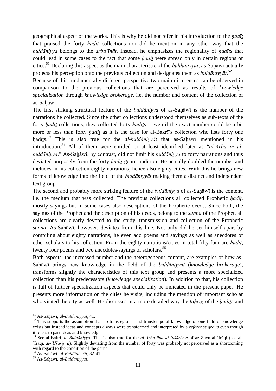geographical aspect of the works. This is why he did not refer in his introduction to the *ḥadīṯ* that praised the forty *hadīt* collections nor did he mention in any other way that the *buldāniyya* belongs to the *arbaʿīnāt*. Instead, he emphasizes the regionality of *ḥadīṯ*s that could lead in some cases to the fact that some *ḥadīṯ* were spread only in certain regions or cities.<sup>51</sup> Declaring this aspect as the main characteristic of the *buldāniyyāt*, as-Saḥāwī actually projects his perception onto the previous collection and designates them as *buldāniyyāt*. 52

Because of this fundamentally different perspective two main differences can be observed in comparison to the previous collections that are perceived as results of *knowledge specialization* through *knowledge brokerage*, i.e. the number and content of the collection of as-Saḫāwī.

The first striking structural feature of the *buldāniyya* of as-Sahāwī is the number of the narrations he collected. Since the other collections understood themselves as sub-texts of the forty *hadīt* collections, they collected forty *hadīts* – even if the exact number could be a bit more or less than forty *ḥadīṯ* as it is the case for al-Bakrī's collection who lists forty one ḥadīṯs. <sup>53</sup> This is also true for the *al-buldāniyyāt* that as-Saḫāwī mentioned in his introduction.<sup>54</sup> All of them were entitled or at least identified later as "*al-Arbaʿūn albuldāniyya*." As-Saḫāwī, by contrast, did not limit his *buldāniyya* to forty narrations and thus deviated purposely from the forty *hadīt* genre tradition. He actually doubled the number and includes in his collection eighty narrations, hence also eighty cities. With this he brings new forms of knowledge into the field of the *buldāniyyāt* making them a distinct and independent text group.

The second and probably more striking feature of the *buldāniyya* of as-Saḥāwī is the content, i.e. the medium that was collected. The previous collections all collected Prophetic *ḥadīṯ*, mostly sayings but in some cases also descriptions of the Prophetic deeds. Since both, the sayings of the Prophet and the description of his deeds, belong to the *sunna* of the Prophet, all collections are clearly devoted to the study, transmission and collection of the Prophetic *sunna*. As-Sahāwī, however, deviates from this line. Not only did he set himself apart by compiling about eighty narrations, he even add poems and sayings as well as anecdotes of other scholars to his collection. From the eighty narrations/cities in total fifty four are *ḥadīṯ*, twenty four poems and two anecdotes/sayings of scholars.<sup>55</sup>

Both aspects, the increased number and the heterogeneous content, are examples of how as-Saḫāwī brings new knowledge in the field of the *buldāniyyat* (*knowledge brokerage*), transforms slightly the characteristics of this text group and presents a more specialized collection than his predecessors (*knowledge specialization*). In addition to that, his collection is full of further specialization aspects that could only be indicated in the present paper. He presents more information on the cities he visits, including the mention of important scholar who visited the city as well. He discusses in a more detailed way the *taḫrīǧ* of the *ḥadīṯs* and

<sup>51</sup> As-Saḫāwī, *al-Buldāniyyāt*, 41.

<sup>&</sup>lt;sup>52</sup> This supports the assumption that no transregional and transtemporal knowledge of one field of knowledge exists but instead ideas and concepts always were transformed and interpreted by a *reference group* even though it refers to past ideas and knowledge.

<sup>53</sup> See al-Bakrī, *al-Buldāniyya*. This is also true for the *al-Arbaʿūna al-ʿušāriyya* of az-Zayn al-ʿIrāqī (see al-ʿIrāqī, *al-ʿUšāriyya*). Slightly deviating from the number of forty was probably not perceived as a shortcoming with regard to the condition of the gerne.

<sup>54</sup> As-Saḫāwī, *al-Buldāniyyāt*, 32-41.

<sup>55</sup> As-Saḫāwī, *al-Buldāniyyāt*.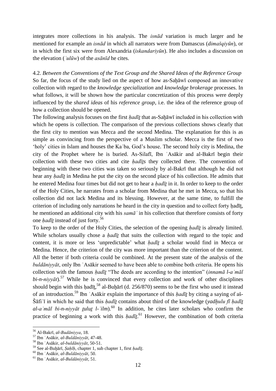integrates more collections in his analysis. The *isnād* variation is much larger and he mentioned for example an *isnād* in which all narrators were from Damascus (*dimašqiyūn*), or in which the first six were from Alexandria (*iskandariyūn*). He also includes a discussion on the elevation (*ʿulūw*) of the *asānīd* he cites.

4.2. *Between the Conventions of the Text Group and the Shared Ideas of the Reference Group* So far, the focus of the study lied on the aspect of how as-Saḥāwī composed an innovative collection with regard to the *knowledge specialization* and *knowledge brokerage* processes. In what follows, it will be shown how the particular concretization of this process were deeply influenced by the *shared ideas* of his *reference group*, i.e. the idea of the reference group of how a collection should be opened.

The following analysis focuses on the first *ḥadīṯ* that as-Saḫāwī included in his collection with which he opens is collection. The comparison of the previous collections shows clearly that the first city to mention was Mecca and the second Medina. The explanation for this is as simple as convincing from the perspective of a Muslim scholar. Mecca is the first of two 'holy' cities in Islam and houses the Kaʿba, God's house. The second holy city is Medina, the city of the Prophet where he is buried. As-Silafī, Ibn ʿAsākir and al-Bakrī begin their collection with these two cities and cite *ḥadīṯs* they collected there. The convention of beginning with these two cities was taken so seriously by al-Bakrī that although he did not hear any *hadīt* in Medina he put the city on the second place of his collection. He admits that he entered Medina four times but did not get to hear a *ḥadīṯ* in it. In order to keep to the order of the Holy Cities, he narrates from a scholar from Medina that he met in Mecca, so that his collection did not lack Medina and its blessing. However, at the same time, to fulfill the criterion of including only narrations he heard in the city in question and to collect forty hadīt, he mentioned an additional city with his *samāʿ* in his collection that therefore consists of forty one *ḥadīṯ* instead of just forty.<sup>56</sup>

To keep to the order of the Holy Cities, the selection of the opening *hadīt* is already limited. While scholars usually chose a *ḥadīṯ* that suits the collection with regard to the topic and content, it is more or less 'unpredictable' what *ḥadīṯ* a scholar would find in Mecca or Medina. Hence, the criterion of the city was more important than the criterion of the content. All the better if both criteria could be combined. At the present state of the analysis of the *buldāniyyāt*, only Ibn ʿAsākir seemed to have been able to combine both criteria. He opens his collection with the famous *ḥadīṯ* "The deeds are according to the intention" (*innamā l-aʿmāl*   $bi-n-niyy\bar{a}t$ .<sup>57</sup> While he is convinced that every collection and work of other disciplines should begin with this had $\overline{u}$ ,<sup>58</sup> al-Buḫārī (d. 256/870) seems to be the first who used it instead of an introduction. <sup>59</sup> Ibn ʿAsākir explain the importance of this *ḥadīṯ* by citing a saying of aš-Šāfiʿī in which he said that this *ḥadīṯ* contains about third of the knowledge (*yadḫulu fī ḥadīṯ al-aʿmāl bi-n-niyyāt ṯuluṯ l-ʿilm*). <sup>60</sup> In addition, he cites later scholars who confirm the practice of beginning a work with this *hadīt*<sup>61</sup> However, the combination of both criteria

<sup>56</sup> Al-Bakrī, *al-Budāniyya*, 18.

<sup>57</sup> Ibn ʿAsākir, *al-Buldāniyyāt*, 47-48.

<sup>58</sup> Ibn ʿAsākir, *al-buldāniyyāt*, 50-51.

<sup>59</sup> See al-Buḫārī, *Ṣaḥīḥ*, chapter 1, sub chapter 1, first *ḥadīṯ*.

<sup>60</sup> Ibn ʿAsākir, *al-Buldāniyyāt*, 50.

<sup>61</sup> Ibn ʿAsākir, *al-Buldāniyyāt*, 51.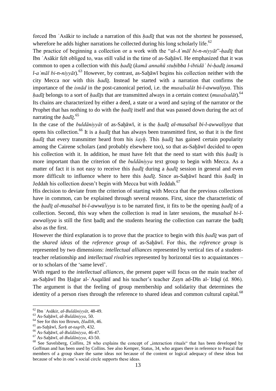forced Ibn `Asākir to include a narration of this *hadīt* that was not the shortest he possessed, wherefore he adds higher narrations he collected during his long scholarly life. $62$ 

The practice of beginning a collection or a work with the "*al-Aʿmāl bi-n-niyyāt*"-*ḥadīṯ* that Ibn ʿAsākir felt obliged to, was still valid in the time of as-Saḫāwī. He emphasized that it was common to open a collection with this *ḥadīṯ* (*kamā annahū stuḥibba l-ibtidāʾ bi-ḥadīṯ innamā l-a māl bi-n-nivvāt*).<sup>63</sup> However, by contrast, as-Sahāwī begins his collection neither with the city Mecca nor with this *ḥadīṯ*. Instead he started with a narration that confirms the importance of the *isnād* in the post-canonical period, i.e. the *musalsalāt bi-l-awwaliyya*. This *ḥadīṯ* belongs to a sort of *ḥadīṯs* that are transmitted always in a certain context (*musalsalāt*). 64 Its chains are characterized by either a deed, a state or a word and saying of the narrator or the Prophet that has nothing to do with the *hadīt* itself and that was passed down during the act of narrating the *ḥadīṯ*. 65

In the case of the *buldāniyyāt* of as-Sahāwī, it is the *hadīt al-musalsal bi-l-awwaliyya* that opens his collection.<sup>66</sup> It is a *hadīt* that has always been transmitted first, so that it is the first *hadīt* that every transmitter heard from his *šayh*. This *hadīt* has gained certain popularity among the Cairene scholars (and probably elsewhere too), so that as-Sahāwī decided to open his collection with it. In addition, he must have felt that the need to start with this *ḥadīṯ* is more important than the criterion of the *buldāniyya* text group to begin with Mecca. As a matter of fact it is not easy to receive this *ḥadīṯ* during a *ḥadīṯ* session in general and even more difficult to influence where to here this *hadīt*. Since as-Sahāwī heard this *hadīt* in Jeddah his collection doesn't begin with Mecca but with Jeddah.<sup>67</sup>

His decision to deviate from the criterion of starting with Mecca that the previous collections have in common, can be explained through several reasons. First, since the characteristic of the *ḥadīṯ al-musalsal bi-l-awwaliyya* is to be narrated first, it fits to be the opening *ḥadīṯ* of a collection. Second, this way when the collection is read in later sessions, the *musalsal bi-lawwaliyya* is still the first hadīt and the students hearing the collection can narrate the hadīt also as the first.

However the third explanation is to prove that the practice to begin with this *ḥadīṯ* was part of the *shared ideas* of the *reference group* of as-Saḫāwī. For this, the *reference group* is represented by two dimensions: *intellectual alliances* represented by vertical ties of a studentteacher relationship and *intellectual rivalries* represented by horizontal ties to acquaintances – or to scholars of the 'same level'.

With regard to the *intellectual alliances*, the present paper will focus on the main teacher of as-Saḫāwī Ibn Ḥaǧar al-ʿAsqalānī and his teacher's teacher Zayn ad-Dīn al-ʿIrāqī (d. 806). The argument is that the feeling of group membership and solidarity that determines the identity of a person rises through the reference to shared ideas and common cultural capital.<sup>68</sup>

<sup>62</sup> Ibn ʿAsākir, *al-Buldāniyyāt*, 48-49.

<sup>63</sup> As-Saḫāwī, *al-Buldāniyya*, 50.

<sup>64</sup> See for this too Brown, *Ḥadīth*, 46.

<sup>65</sup> as-Saḫāwī, *Šarḥ at-taqrīb*, 432.

<sup>66</sup> As-Saḫāwī, *al-Buldāniyya*, 46-47.

<sup>67</sup> As-Saḫāwī, *al-Buldāniyya*, 43-50.

<sup>&</sup>lt;sup>68</sup> See Savelsberg, *Collins*, 28 who explains the concept of "interaction rituals" that has been developed by Goffman and has been used by Collins. See also Kemper, Status, 34, who argues there in reference to Pascal that members of a group share the same ideas not because of the content or logical adequacy of these ideas but because of who in one's social circle supports these ideas.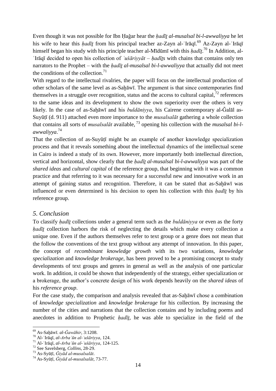Even though it was not possible for Ibn Ḥaǧar hear the *ḥadīṯ al-musalsal bi-l-awwaliyya* he let his wife to hear this *ḥadīṯ* from his principal teacher az-Zayn al-ʿIrāqī. <sup>69</sup> Az-Zayn al-ʿIrāqī himself began his study with his principle teacher al-Mīdūmī with this *ḥadīṯ*. <sup>70</sup> In Addition, al-ʿIrāqī decided to open his collection of *ʿušāriyyāt* – *ḥadīṯs* with chains that contains only ten narrators to the Prophet – with the *ḥadīṯ al-musalsal bi-l-awwaliyya* that actually did not meet the conditions of the collection. $71$ 

With regard to the intellectual rivalries, the paper will focus on the intellectual production of other scholars of the same level as as-Saḫāwī. The argument is that since contemporaries find themselves in a struggle over recognition, status and the access to cultural capital,  $^{72}$  references to the same ideas and its development to show the own superiority over the others is very likely. In the case of as-Sahāwī and his *buldāniyya*, his Cairene contemporary al-Ğalāl as-Suyūṭī (d. 911) attached even more importance to the *musalsalāt* gathering a whole collection that contains all sorts of *musalsalāt* available, <sup>73</sup> opening his collection with the *musalsal bi-lawwaliyya*. 74

That the collection of as-Suyūṭī might be an example of another knowledge specialization process and that it reveals something about the intellectual dynamics of the intellectual scene in Cairo is indeed a study of its own. However, more importantly both intellectual direction, vertical and horizontal, show clearly that the *ḥadīṯ al-musalsal bi-l-awwaliyya* was part of the *shared ideas* and *cultural capital* of the reference group, that beginning with it was a common practice and that referring to it was necessary for a successful new and innovative work in an attempt of gaining status and recognition. Therefore, it can be stated that as-Saḫāwī was influenced or even determined is his decision to open his collection with this *ḥadīṯ* by his reference group.

### *5. Conclusion*

To classify *ḥadīṯ* collections under a general term such as the *buldāniyya* or even as the forty *hadīt* collection harbors the risk of neglecting the details which make every collection a unique one. Even if the authors themselves refer to text group or a genre does not mean that the follow the conventions of the text group without any attempt of innovation. In this paper, the concept of *recombinant knowledge growth* with its two variations, *knowledge specialization* and *knowledge brokerage*, has been proved to be a promising concept to study developments of text groups and genres in general as well as the analysis of one particular work. In addition, it could be shown that independently of the strategy, either specialization or a brokerage, the author's concrete design of his work depends heavily on the *shared ideas* of his *reference group*.

For the case study, the comparison and analysis revealed that as-Saḫāwī chose a combination of *knowledge specialization* and *knowledge brokerage* for his collection. By increasing the number of the cities and narrations that the collection contains and by including poems and anecdotes in addition to Prophetic *ḥadīṯ*, he was able to specialize in the field of the

<sup>69</sup> As-Saḫāwī. *al-Ǧawāhir*, 3:1208.

<sup>70</sup> Al-ʿIrāqī, *al-Arbaʿūn al-ʿušāriyya*, 124.

<sup>71</sup> Al-ʿIrāqī, *al-Arbaʿūn al-ʿušāriyya*, 124-125.

<sup>72</sup> See Savelsberg, *Collins*, 28-29.

<sup>73</sup> As-Syūṭī, *Ǧiyād al-musalsalāt*.

<sup>74</sup> As-Syūṭī, *Ǧiyād al-musalsalāt*, 73-77.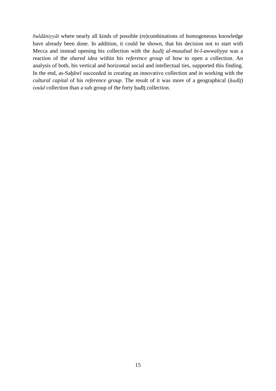*buldāniyyāt* where nearly all kinds of possible (re)combinations of homogeneous knowledge have already been done. In addition, it could be shown, that his decision not to start with Mecca and instead opening his collection with the *ḥadīṯ al-musalsal bi-l-awwaliyya* was a reaction of the *shared idea* within his *reference group* of how to open a collection. An analysis of both, his vertical and horizontal social and intellectual ties, supported this finding. In the end, as-Saḫāwī succeeded in creating an innovative collection and in working with the *cultural capital* of his *reference group*. The result of it was more of a geographical (*ḥadīṯ*) *isnād* collection than a sub group of the forty ḥadīṯ collection.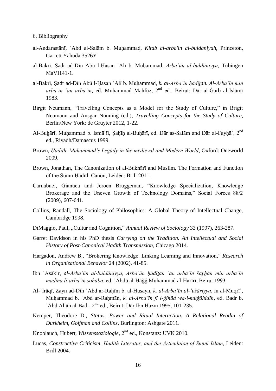6. Bibliography

- al-Andarastānī, ʿAbd al-Salām b. Muḥammad, *Kitab al-arba'in al-buldaniyah*, Princeton, Garrett Yahuda 3526Y
- al-Bakrī, Ṣadr ad-Dīn Abū l-Ḥasan ʿAlī b. Muḥammad, *Arbaʿūn al-buldāniyya*, Tübingen MaVI141-1.
- al-Bakrī, Ṣadr ad-Dīn Abū l-Ḥasan ʿAlī b. Muḥammad, *k. al-Arbaʿīn ḥadīṯan. Al-Arbaʿīn min arbaʿīn ʿan arbaʿīn*, ed. Muḥammad Maḥfūẓ, 2nd ed., Beirut: Dār al-Ġarb al-Islāmī 1983.
- Birgit Neumann, "Travelling Concepts as a Model for the Study of Culture," in Brigit Neumann and Ansgar Nünning (ed.), *Travelling Concepts for the Study of Culture*, Berlin/New York: de Gruyter 2012, 1-22.
- Al-Buḫārī, Muḥammad b. Ismāʿīl, Ṣaḥīḥ al-Buḫārī, ed. Dār as-Salām and Dār al-Fayḥāʾ, 2nd ed., Riyadh/Damascus 1999.
- Brown, *Ḥadīth. Muhammad's Legady in the medieval and Modern World*, Oxford: Oneworld 2009.
- Brown, Jonathan, The Canonization of al-Bukhārī and Muslim. The Formation and Function of the Sunnī Ḥadīth Canon, Leiden: Brill 2011.
- Carnabuci, Gianuca and Jeroen Bruggeman, "Knowledge Specialization, Knowledge Brokerage and the Uneven Growth of Technology Domains," Social Forces 88/2 (2009), 607-641.
- Collins, Randall, The Sociology of Philosophies. A Global Theory of Intellectual Change, Cambridge 1998.
- DiMaggio, Paul, "Cultur and Cognition," *Annual Review of Sociology* 33 (1997), 263-287.
- Garret Davidson in his PhD thesis *Carrying on the Tradition. An Intellectual and Social History of Post-Canonical Hadith Transmission*, Chicago 2014.
- Hargadon, Andrew B., "Brokering Knowledge. Linking Learning and Innovation," *Research in Organizational Behavior* 24 (2002), 41-85.
- Ibn ʿAsākir, *al-Arbaʿūn al-buldāniyya, Arbaʿūn ḥadīṯan ʿan arbaʿīn šayḫan min arbaʿīn madīna li-arbaʿīn ṣaḥāba*, ed. ʿAbdū al-Ḥāǧǧ Muḥammad al-Ḥarīrī, Beirut 1993.
- Al-ʿIrāqī, Zayn ad-Dīn ʿAbd ar-Raḥīm b. al-Ḥusayn, *k. al-Arbaʿīn al-ʿušāriyya*, in al-Muqrīʾ, Muḥammad b. ʿAbd ar-Raḥmān, *k. al-Arbaʿīn fī l-ǧihād wa-l-muǧāhidīn*, ed. Badr b. ʿAbd Allāh al-Badr, 2nd ed., Beirut: Dār Ibn Ḥazm 1995, 101-235.
- Kemper, Theodore D., *Status, Power and Ritual Interaction. A Relational Readin of Durkheim, Goffman and Collins*, Burlington: Ashgate 2011.
- Knoblauch, Hubert, *Wissenssoziologie*, 2nd ed., Konstanz: UVK 2010.
- Lucas, *Constructive Criticism, Ḥadīth Literatur, and the Articulaion of Sunnī Islam*, Leiden: Brill 2004.